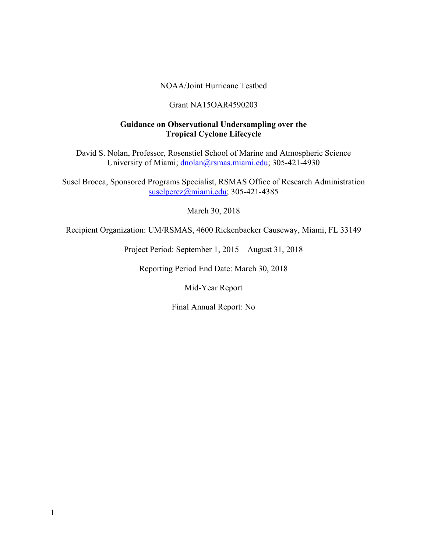#### NOAA/Joint Hurricane Testbed

#### Grant NA15OAR4590203

#### **Guidance on Observational Undersampling over the Tropical Cyclone Lifecycle**

David S. Nolan, Professor, Rosenstiel School of Marine and Atmospheric Science University of Miami; dnolan@rsmas.miami.edu; 305-421-4930

Susel Brocca, Sponsored Programs Specialist, RSMAS Office of Research Administration suselperez@miami.edu; 305-421-4385

March 30, 2018

Recipient Organization: UM/RSMAS, 4600 Rickenbacker Causeway, Miami, FL 33149

Project Period: September 1, 2015 – August 31, 2018

Reporting Period End Date: March 30, 2018

Mid-Year Report

Final Annual Report: No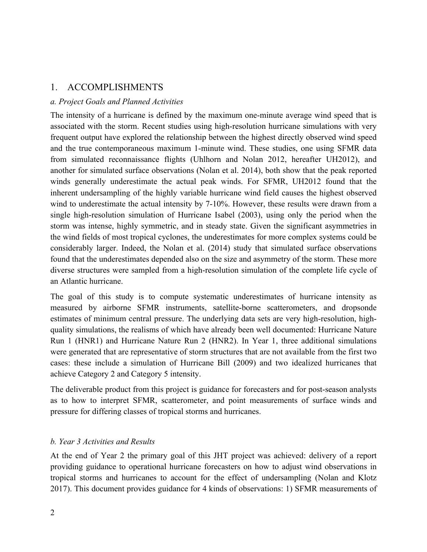### 1. ACCOMPLISHMENTS

### *a. Project Goals and Planned Activities*

The intensity of a hurricane is defined by the maximum one-minute average wind speed that is associated with the storm. Recent studies using high-resolution hurricane simulations with very frequent output have explored the relationship between the highest directly observed wind speed and the true contemporaneous maximum 1-minute wind. These studies, one using SFMR data from simulated reconnaissance flights (Uhlhorn and Nolan 2012, hereafter UH2012), and another for simulated surface observations (Nolan et al. 2014), both show that the peak reported winds generally underestimate the actual peak winds. For SFMR, UH2012 found that the inherent undersampling of the highly variable hurricane wind field causes the highest observed wind to underestimate the actual intensity by 7-10%. However, these results were drawn from a single high-resolution simulation of Hurricane Isabel (2003), using only the period when the storm was intense, highly symmetric, and in steady state. Given the significant asymmetries in the wind fields of most tropical cyclones, the underestimates for more complex systems could be considerably larger. Indeed, the Nolan et al. (2014) study that simulated surface observations found that the underestimates depended also on the size and asymmetry of the storm. These more diverse structures were sampled from a high-resolution simulation of the complete life cycle of an Atlantic hurricane.

The goal of this study is to compute systematic underestimates of hurricane intensity as measured by airborne SFMR instruments, satellite-borne scatterometers, and dropsonde estimates of minimum central pressure. The underlying data sets are very high-resolution, highquality simulations, the realisms of which have already been well documented: Hurricane Nature Run 1 (HNR1) and Hurricane Nature Run 2 (HNR2). In Year 1, three additional simulations were generated that are representative of storm structures that are not available from the first two cases: these include a simulation of Hurricane Bill (2009) and two idealized hurricanes that achieve Category 2 and Category 5 intensity.

The deliverable product from this project is guidance for forecasters and for post-season analysts as to how to interpret SFMR, scatterometer, and point measurements of surface winds and pressure for differing classes of tropical storms and hurricanes.

### *b. Year 3 Activities and Results*

At the end of Year 2 the primary goal of this JHT project was achieved: delivery of a report providing guidance to operational hurricane forecasters on how to adjust wind observations in tropical storms and hurricanes to account for the effect of undersampling (Nolan and Klotz 2017). This document provides guidance for 4 kinds of observations: 1) SFMR measurements of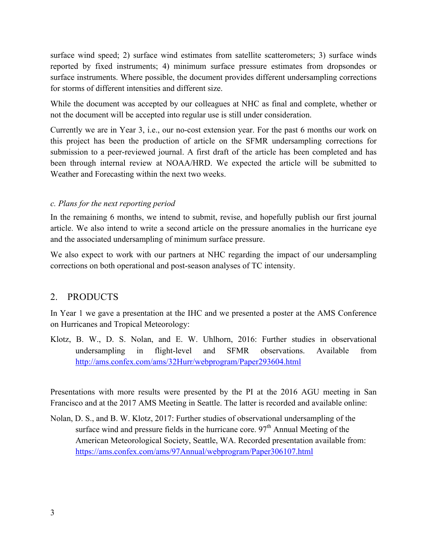surface wind speed; 2) surface wind estimates from satellite scatterometers; 3) surface winds reported by fixed instruments; 4) minimum surface pressure estimates from dropsondes or surface instruments. Where possible, the document provides different undersampling corrections for storms of different intensities and different size.

While the document was accepted by our colleagues at NHC as final and complete, whether or not the document will be accepted into regular use is still under consideration.

Currently we are in Year 3, i.e., our no-cost extension year. For the past 6 months our work on this project has been the production of article on the SFMR undersampling corrections for submission to a peer-reviewed journal. A first draft of the article has been completed and has been through internal review at NOAA/HRD. We expected the article will be submitted to Weather and Forecasting within the next two weeks.

### *c. Plans for the next reporting period*

In the remaining 6 months, we intend to submit, revise, and hopefully publish our first journal article. We also intend to write a second article on the pressure anomalies in the hurricane eye and the associated undersampling of minimum surface pressure.

We also expect to work with our partners at NHC regarding the impact of our undersampling corrections on both operational and post-season analyses of TC intensity.

## 2. PRODUCTS

In Year 1 we gave a presentation at the IHC and we presented a poster at the AMS Conference on Hurricanes and Tropical Meteorology:

Klotz, B. W., D. S. Nolan, and E. W. Uhlhorn, 2016: Further studies in observational undersampling in flight-level and SFMR observations. Available from http://ams.confex.com/ams/32Hurr/webprogram/Paper293604.html

Presentations with more results were presented by the PI at the 2016 AGU meeting in San Francisco and at the 2017 AMS Meeting in Seattle. The latter is recorded and available online:

Nolan, D. S., and B. W. Klotz, 2017: Further studies of observational undersampling of the surface wind and pressure fields in the hurricane core.  $97<sup>th</sup>$  Annual Meeting of the American Meteorological Society, Seattle, WA. Recorded presentation available from: https://ams.confex.com/ams/97Annual/webprogram/Paper306107.html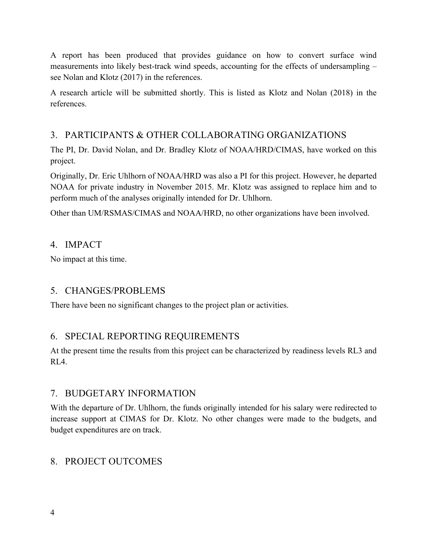A report has been produced that provides guidance on how to convert surface wind measurements into likely best-track wind speeds, accounting for the effects of undersampling – see Nolan and Klotz (2017) in the references.

A research article will be submitted shortly. This is listed as Klotz and Nolan (2018) in the references.

# 3. PARTICIPANTS & OTHER COLLABORATING ORGANIZATIONS

The PI, Dr. David Nolan, and Dr. Bradley Klotz of NOAA/HRD/CIMAS, have worked on this project.

Originally, Dr. Eric Uhlhorn of NOAA/HRD was also a PI for this project. However, he departed NOAA for private industry in November 2015. Mr. Klotz was assigned to replace him and to perform much of the analyses originally intended for Dr. Uhlhorn.

Other than UM/RSMAS/CIMAS and NOAA/HRD, no other organizations have been involved.

## 4. IMPACT

No impact at this time.

# 5. CHANGES/PROBLEMS

There have been no significant changes to the project plan or activities.

# 6. SPECIAL REPORTING REQUIREMENTS

At the present time the results from this project can be characterized by readiness levels RL3 and RL4.

## 7. BUDGETARY INFORMATION

With the departure of Dr. Uhlhorn, the funds originally intended for his salary were redirected to increase support at CIMAS for Dr. Klotz. No other changes were made to the budgets, and budget expenditures are on track.

## 8. PROJECT OUTCOMES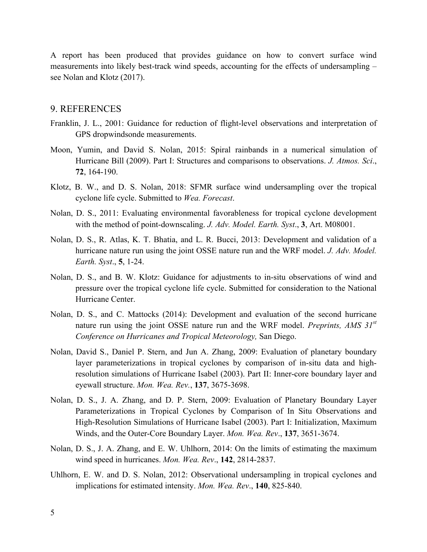A report has been produced that provides guidance on how to convert surface wind measurements into likely best-track wind speeds, accounting for the effects of undersampling – see Nolan and Klotz (2017).

### 9. REFERENCES

- Franklin, J. L., 2001: Guidance for reduction of flight-level observations and interpretation of GPS dropwindsonde measurements.
- Moon, Yumin, and David S. Nolan, 2015: Spiral rainbands in a numerical simulation of Hurricane Bill (2009). Part I: Structures and comparisons to observations. *J. Atmos. Sci*., **72**, 164-190.
- Klotz, B. W., and D. S. Nolan, 2018: SFMR surface wind undersampling over the tropical cyclone life cycle. Submitted to *Wea. Forecast*.
- Nolan, D. S., 2011: Evaluating environmental favorableness for tropical cyclone development with the method of point-downscaling. *J. Adv. Model. Earth. Syst*., **3**, Art. M08001.
- Nolan, D. S., R. Atlas, K. T. Bhatia, and L. R. Bucci, 2013: Development and validation of a hurricane nature run using the joint OSSE nature run and the WRF model. *J. Adv. Model. Earth. Syst*., **5**, 1-24.
- Nolan, D. S., and B. W. Klotz: Guidance for adjustments to in-situ observations of wind and pressure over the tropical cyclone life cycle. Submitted for consideration to the National Hurricane Center.
- Nolan, D. S., and C. Mattocks (2014): Development and evaluation of the second hurricane nature run using the joint OSSE nature run and the WRF model. *Preprints, AMS 31st Conference on Hurricanes and Tropical Meteorology,* San Diego.
- Nolan, David S., Daniel P. Stern, and Jun A. Zhang, 2009: Evaluation of planetary boundary layer parameterizations in tropical cyclones by comparison of in-situ data and highresolution simulations of Hurricane Isabel (2003). Part II: Inner-core boundary layer and eyewall structure. *Mon. Wea. Rev.*, **137**, 3675-3698.
- Nolan, D. S., J. A. Zhang, and D. P. Stern, 2009: Evaluation of Planetary Boundary Layer Parameterizations in Tropical Cyclones by Comparison of In Situ Observations and High-Resolution Simulations of Hurricane Isabel (2003). Part I: Initialization, Maximum Winds, and the Outer-Core Boundary Layer. *Mon. Wea. Rev*., **137**, 3651-3674.
- Nolan, D. S., J. A. Zhang, and E. W. Uhlhorn, 2014: On the limits of estimating the maximum wind speed in hurricanes. *Mon. Wea. Rev*., **142**, 2814-2837.
- Uhlhorn, E. W. and D. S. Nolan, 2012: Observational undersampling in tropical cyclones and implications for estimated intensity. *Mon. Wea. Rev*., **140**, 825-840.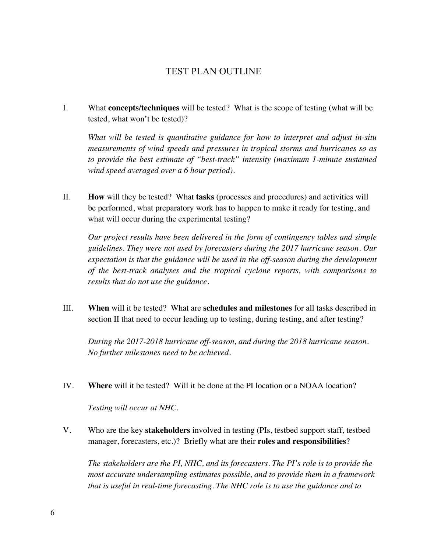## TEST PLAN OUTLINE

I. What **concepts/techniques** will be tested? What is the scope of testing (what will be tested, what won't be tested)?

*What will be tested is quantitative guidance for how to interpret and adjust in-situ measurements of wind speeds and pressures in tropical storms and hurricanes so as to provide the best estimate of "best-track" intensity (maximum 1-minute sustained wind speed averaged over a 6 hour period).*

II. **How** will they be tested? What **tasks** (processes and procedures) and activities will be performed, what preparatory work has to happen to make it ready for testing, and what will occur during the experimental testing?

*Our project results have been delivered in the form of contingency tables and simple guidelines. They were not used by forecasters during the 2017 hurricane season. Our expectation is that the guidance will be used in the off-season during the development of the best-track analyses and the tropical cyclone reports, with comparisons to results that do not use the guidance.*

III. **When** will it be tested? What are **schedules and milestones** for all tasks described in section II that need to occur leading up to testing, during testing, and after testing?

*During the 2017-2018 hurricane off-season, and during the 2018 hurricane season. No further milestones need to be achieved.*

IV. **Where** will it be tested? Will it be done at the PI location or a NOAA location?

*Testing will occur at NHC.*

V. Who are the key **stakeholders** involved in testing (PIs, testbed support staff, testbed manager, forecasters, etc.)? Briefly what are their **roles and responsibilities**?

*The stakeholders are the PI, NHC, and its forecasters. The PI's role is to provide the most accurate undersampling estimates possible, and to provide them in a framework that is useful in real-time forecasting. The NHC role is to use the guidance and to*